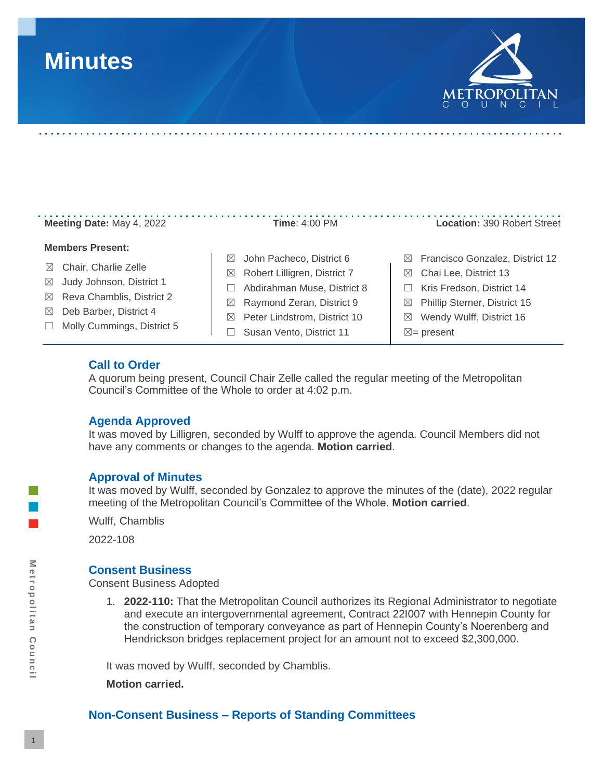# **Minutes**



# **Meeting Date:** May 4, 2022 **Time**: 4:00 PM **Location:** 390 Robert Street

#### **Members Present:**

- ☒ Chair, Charlie Zelle
- ☒ Judy Johnson, District 1
- ☒ Reva Chamblis, District 2
- ☒ Deb Barber, District 4
- ☐ Molly Cummings, District 5

- ☒ John Pacheco, District 6
- ☒ Robert Lilligren, District 7
- ☐ Abdirahman Muse, District 8
- ☒ Raymond Zeran, District 9
- ☒ Peter Lindstrom, District 10
- □ Susan Vento, District 11

- ☒ Francisco Gonzalez, District 12
- ☒ Chai Lee, District 13
- ☐ Kris Fredson, District 14
- ☒ Phillip Sterner, District 15
- ☒ Wendy Wulff, District 16
- $\boxtimes$  = present

#### **Call to Order**

A quorum being present, Council Chair Zelle called the regular meeting of the Metropolitan Council's Committee of the Whole to order at 4:02 p.m.

#### **Agenda Approved**

It was moved by Lilligren, seconded by Wulff to approve the agenda. Council Members did not have any comments or changes to the agenda. **Motion carried**.

#### **Approval of Minutes**

It was moved by Wulff, seconded by Gonzalez to approve the minutes of the (date), 2022 regular meeting of the Metropolitan Council's Committee of the Whole. **Motion carried**.

Wulff, Chamblis

2022-108

#### **Consent Business**

Consent Business Adopted

1. **2022-110:** That the Metropolitan Council authorizes its Regional Administrator to negotiate and execute an intergovernmental agreement, Contract 22I007 with Hennepin County for the construction of temporary conveyance as part of Hennepin County's Noerenberg and Hendrickson bridges replacement project for an amount not to exceed \$2,300,000.

It was moved by Wulff, seconded by Chamblis.

**Motion carried.**

## **Non-Consent Business – Reports of Standing Committees**

Metropolitan Council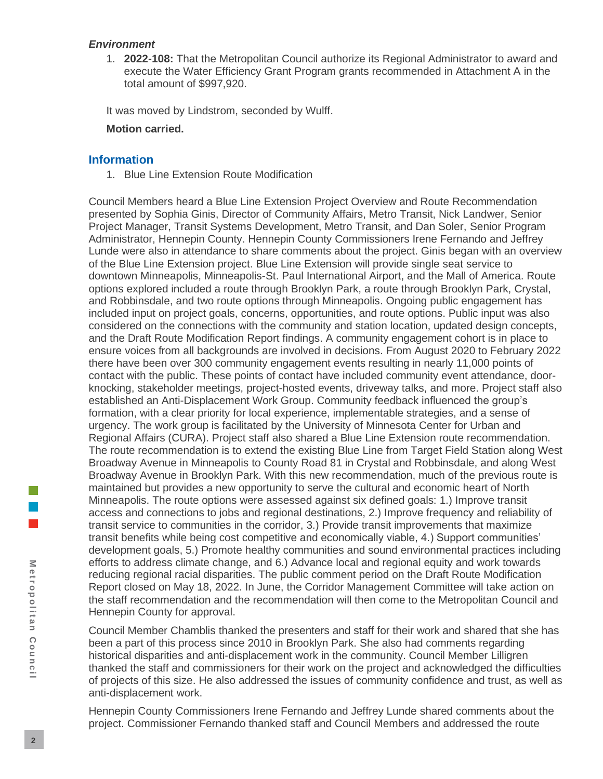#### *Environment*

1. **2022-108:** That the Metropolitan Council authorize its Regional Administrator to award and execute the Water Efficiency Grant Program grants recommended in Attachment A in the total amount of \$997,920.

It was moved by Lindstrom, seconded by Wulff.

#### **Motion carried.**

## **Information**

1. Blue Line Extension Route Modification

Council Members heard a Blue Line Extension Project Overview and Route Recommendation presented by Sophia Ginis, Director of Community Affairs, Metro Transit, Nick Landwer, Senior Project Manager, Transit Systems Development, Metro Transit, and Dan Soler, Senior Program Administrator, Hennepin County. Hennepin County Commissioners Irene Fernando and Jeffrey Lunde were also in attendance to share comments about the project. Ginis began with an overview of the Blue Line Extension project. Blue Line Extension will provide single seat service to downtown Minneapolis, Minneapolis-St. Paul International Airport, and the Mall of America. Route options explored included a route through Brooklyn Park, a route through Brooklyn Park, Crystal, and Robbinsdale, and two route options through Minneapolis. Ongoing public engagement has included input on project goals, concerns, opportunities, and route options. Public input was also considered on the connections with the community and station location, updated design concepts, and the Draft Route Modification Report findings. A community engagement cohort is in place to ensure voices from all backgrounds are involved in decisions. From August 2020 to February 2022 there have been over 300 community engagement events resulting in nearly 11,000 points of contact with the public. These points of contact have included community event attendance, doorknocking, stakeholder meetings, project-hosted events, driveway talks, and more. Project staff also established an Anti-Displacement Work Group. Community feedback influenced the group's formation, with a clear priority for local experience, implementable strategies, and a sense of urgency. The work group is facilitated by the University of Minnesota Center for Urban and Regional Affairs (CURA). Project staff also shared a Blue Line Extension route recommendation. The route recommendation is to extend the existing Blue Line from Target Field Station along West Broadway Avenue in Minneapolis to County Road 81 in Crystal and Robbinsdale, and along West Broadway Avenue in Brooklyn Park. With this new recommendation, much of the previous route is maintained but provides a new opportunity to serve the cultural and economic heart of North Minneapolis. The route options were assessed against six defined goals: 1.) Improve transit access and connections to jobs and regional destinations, 2.) Improve frequency and reliability of transit service to communities in the corridor, 3.) Provide transit improvements that maximize transit benefits while being cost competitive and economically viable, 4.) Support communities' development goals, 5.) Promote healthy communities and sound environmental practices including efforts to address climate change, and 6.) Advance local and regional equity and work towards reducing regional racial disparities. The public comment period on the Draft Route Modification Report closed on May 18, 2022. In June, the Corridor Management Committee will take action on the staff recommendation and the recommendation will then come to the Metropolitan Council and Hennepin County for approval.

Council Member Chamblis thanked the presenters and staff for their work and shared that she has been a part of this process since 2010 in Brooklyn Park. She also had comments regarding historical disparities and anti-displacement work in the community. Council Member Lilligren thanked the staff and commissioners for their work on the project and acknowledged the difficulties of projects of this size. He also addressed the issues of community confidence and trust, as well as anti-displacement work.

Hennepin County Commissioners Irene Fernando and Jeffrey Lunde shared comments about the project. Commissioner Fernando thanked staff and Council Members and addressed the route